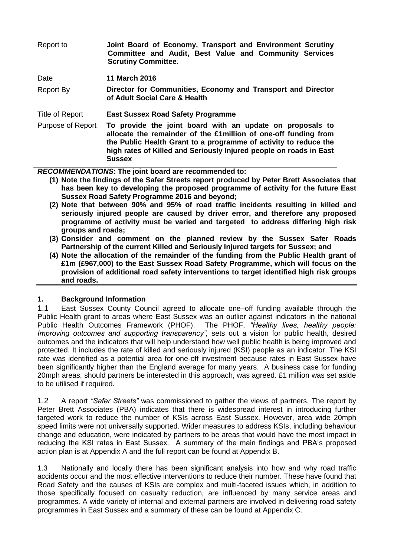| Report to         | Joint Board of Economy, Transport and Environment Scrutiny<br>Committee and Audit, Best Value and Community Services<br><b>Scrutiny Committee.</b>                                                                                                                                       |
|-------------------|------------------------------------------------------------------------------------------------------------------------------------------------------------------------------------------------------------------------------------------------------------------------------------------|
| Date              | <b>11 March 2016</b>                                                                                                                                                                                                                                                                     |
| <b>Report By</b>  | Director for Communities, Economy and Transport and Director<br>of Adult Social Care & Health                                                                                                                                                                                            |
| Title of Report   | <b>East Sussex Road Safety Programme</b>                                                                                                                                                                                                                                                 |
| Purpose of Report | To provide the joint board with an update on proposals to<br>allocate the remainder of the £1 million of one-off funding from<br>the Public Health Grant to a programme of activity to reduce the<br>high rates of Killed and Seriously Injured people on roads in East<br><b>Sussex</b> |
|                   |                                                                                                                                                                                                                                                                                          |

*RECOMMENDATIONS***: The joint board are recommended to:**

- **(1) Note the findings of the Safer Streets report produced by Peter Brett Associates that has been key to developing the proposed programme of activity for the future East Sussex Road Safety Programme 2016 and beyond;**
- **(2) Note that between 90% and 95% of road traffic incidents resulting in killed and seriously injured people are caused by driver error, and therefore any proposed programme of activity must be varied and targeted to address differing high risk groups and roads;**
- **(3) Consider and comment on the planned review by the Sussex Safer Roads Partnership of the current Killed and Seriously Injured targets for Sussex; and**
- **(4) Note the allocation of the remainder of the funding from the Public Health grant of £1m (£967,000) to the East Sussex Road Safety Programme, which will focus on the provision of additional road safety interventions to target identified high risk groups and roads.**

# **1. Background Information**

1.1 East Sussex County Council agreed to allocate one–off funding available through the Public Health grant to areas where East Sussex was an outlier against indicators in the national Public Health Outcomes Framework (PHOF). The PHOF, *"Healthy lives, healthy people: Improving outcomes and supporting transparency",* sets out a vision for public health, desired outcomes and the indicators that will help understand how well public health is being improved and protected. It includes the rate of killed and seriously injured (KSI) people as an indicator. The KSI rate was identified as a potential area for one-off investment because rates in East Sussex have been significantly higher than the England average for many years. A business case for funding 20mph areas, should partners be interested in this approach, was agreed. £1 million was set aside to be utilised if required.

1.2 A report *"Safer Streets"* was commissioned to gather the views of partners. The report by Peter Brett Associates (PBA) indicates that there is widespread interest in introducing further targeted work to reduce the number of KSIs across East Sussex. However, area wide 20mph speed limits were not universally supported. Wider measures to address KSIs, including behaviour change and education, were indicated by partners to be areas that would have the most impact in reducing the KSI rates in East Sussex. A summary of the main findings and PBA's proposed action plan is at Appendix A and the full report can be found at Appendix B.

1.3 Nationally and locally there has been significant analysis into how and why road traffic accidents occur and the most effective interventions to reduce their number. These have found that Road Safety and the causes of KSIs are complex and multi-faceted issues which, in addition to those specifically focused on casualty reduction, are influenced by many service areas and programmes. A wide variety of internal and external partners are involved in delivering road safety programmes in East Sussex and a summary of these can be found at Appendix C.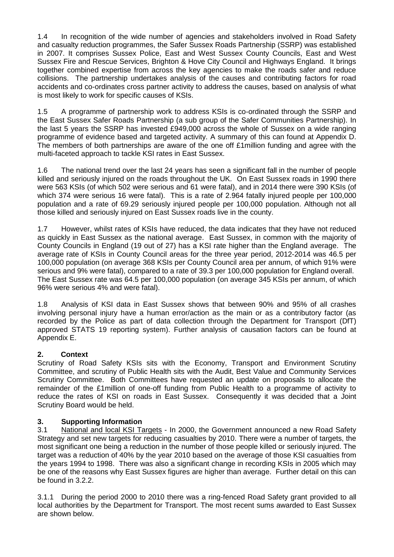1.4 In recognition of the wide number of agencies and stakeholders involved in Road Safety and casualty reduction programmes, the Safer Sussex Roads Partnership (SSRP) was established in 2007. It comprises Sussex Police, East and West Sussex County Councils, East and West Sussex Fire and Rescue Services, Brighton & Hove City Council and Highways England. It brings together combined expertise from across the key agencies to make the roads safer and reduce collisions. The partnership undertakes analysis of the causes and contributing factors for road accidents and co-ordinates cross partner activity to address the causes, based on analysis of what is most likely to work for specific causes of KSIs.

1.5 A programme of partnership work to address KSIs is co-ordinated through the SSRP and the East Sussex Safer Roads Partnership (a sub group of the Safer Communities Partnership). In the last 5 years the SSRP has invested £949,000 across the whole of Sussex on a wide ranging programme of evidence based and targeted activity. A summary of this can found at Appendix D. The members of both partnerships are aware of the one off £1 million funding and agree with the multi-faceted approach to tackle KSI rates in East Sussex.

1.6 The national trend over the last 24 years has seen a significant fall in the number of people killed and seriously injured on the roads throughout the UK. On East Sussex roads in 1990 there were 563 KSIs (of which 502 were serious and 61 were fatal), and in 2014 there were 390 KSIs (of which 374 were serious 16 were fatal). This is a rate of 2.964 fatally injured people per 100,000 population and a rate of 69.29 seriously injured people per 100,000 population. Although not all those killed and seriously injured on East Sussex roads live in the county.

1.7 However, whilst rates of KSIs have reduced, the data indicates that they have not reduced as quickly in East Sussex as the national average. East Sussex, in common with the majority of County Councils in England (19 out of 27) has a KSI rate higher than the England average. The average rate of KSIs in County Council areas for the three year period, 2012-2014 was 46.5 per 100,000 population (on average 368 KSIs per County Council area per annum, of which 91% were serious and 9% were fatal), compared to a rate of 39.3 per 100,000 population for England overall. The East Sussex rate was 64.5 per 100,000 population (on average 345 KSIs per annum, of which 96% were serious 4% and were fatal).

1.8 Analysis of KSI data in East Sussex shows that between 90% and 95% of all crashes involving personal injury have a human error/action as the main or as a contributory factor (as recorded by the Police as part of data collection through the Department for Transport (DfT) approved STATS 19 reporting system). Further analysis of causation factors can be found at Appendix E.

# **2. Context**

Scrutiny of Road Safety KSIs sits with the Economy, Transport and Environment Scrutiny Committee, and scrutiny of Public Health sits with the Audit, Best Value and Community Services Scrutiny Committee. Both Committees have requested an update on proposals to allocate the remainder of the £1million of one-off funding from Public Health to a programme of activity to reduce the rates of KSI on roads in East Sussex. Consequently it was decided that a Joint Scrutiny Board would be held.

# **3. Supporting Information**

3.1 National and local KSI Targets - In 2000, the Government announced a new Road Safety Strategy and set new targets for reducing casualties by 2010. There were a number of targets, the most significant one being a reduction in the number of those people killed or seriously injured. The target was a reduction of 40% by the year 2010 based on the average of those KSI casualties from the years 1994 to 1998. There was also a significant change in recording KSIs in 2005 which may be one of the reasons why East Sussex figures are higher than average. Further detail on this can be found in 3.2.2.

3.1.1 During the period 2000 to 2010 there was a ring-fenced Road Safety grant provided to all local authorities by the Department for Transport. The most recent sums awarded to East Sussex are shown below.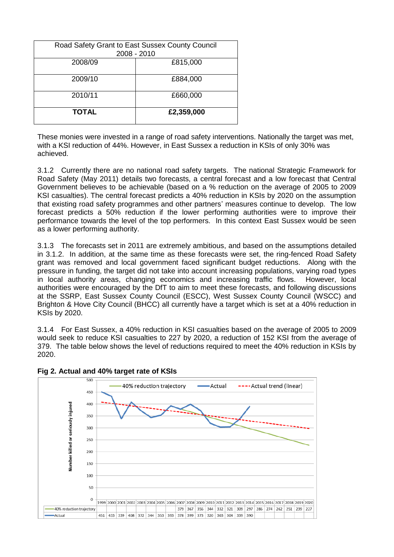| Road Safety Grant to East Sussex County Council<br>2008 - 2010 |            |  |
|----------------------------------------------------------------|------------|--|
| 2008/09                                                        | £815,000   |  |
| 2009/10                                                        | £884,000   |  |
| 2010/11                                                        | £660,000   |  |
| <b>TOTAL</b>                                                   | £2,359,000 |  |

These monies were invested in a range of road safety interventions. Nationally the target was met, with a KSI reduction of 44%. However, in East Sussex a reduction in KSIs of only 30% was achieved.

3.1.2 Currently there are no national road safety targets. The national Strategic Framework for Road Safety (May 2011) details two forecasts, a central forecast and a low forecast that Central Government believes to be achievable (based on a % reduction on the average of 2005 to 2009 KSI casualties). The central forecast predicts a 40% reduction in KSIs by 2020 on the assumption that existing road safety programmes and other partners' measures continue to develop. The low forecast predicts a 50% reduction if the lower performing authorities were to improve their performance towards the level of the top performers. In this context East Sussex would be seen as a lower performing authority.

3.1.3 The forecasts set in 2011 are extremely ambitious, and based on the assumptions detailed in 3.1.2. In addition, at the same time as these forecasts were set, the ring-fenced Road Safety grant was removed and local government faced significant budget reductions. Along with the pressure in funding, the target did not take into account increasing populations, varying road types in local authority areas, changing economics and increasing traffic flows. However, local authorities were encouraged by the DfT to aim to meet these forecasts, and following discussions at the SSRP, East Sussex County Council (ESCC), West Sussex County Council (WSCC) and Brighton & Hove City Council (BHCC) all currently have a target which is set at a 40% reduction in KSIs by 2020.

3.1.4 For East Sussex, a 40% reduction in KSI casualties based on the average of 2005 to 2009 would seek to reduce KSI casualties to 227 by 2020, a reduction of 152 KSI from the average of 379. The table below shows the level of reductions required to meet the 40% reduction in KSIs by 2020.



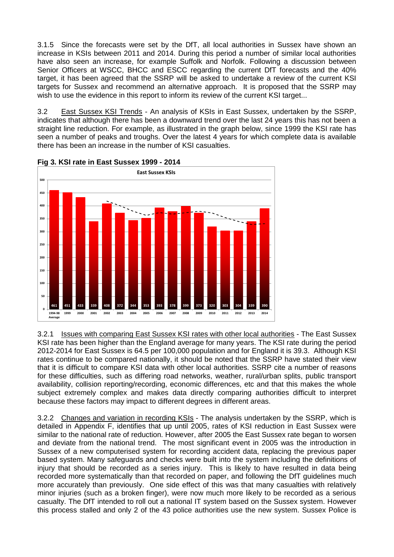3.1.5 Since the forecasts were set by the DfT, all local authorities in Sussex have shown an increase in KSIs between 2011 and 2014. During this period a number of similar local authorities have also seen an increase, for example Suffolk and Norfolk. Following a discussion between Senior Officers at WSCC, BHCC and ESCC regarding the current DfT forecasts and the 40% target, it has been agreed that the SSRP will be asked to undertake a review of the current KSI targets for Sussex and recommend an alternative approach. It is proposed that the SSRP may wish to use the evidence in this report to inform its review of the current KSI target...

3.2 East Sussex KSI Trends - An analysis of KSIs in East Sussex, undertaken by the SSRP, indicates that although there has been a downward trend over the last 24 years this has not been a straight line reduction. For example, as illustrated in the graph below, since 1999 the KSI rate has seen a number of peaks and troughs. Over the latest 4 years for which complete data is available there has been an increase in the number of KSI casualties.



**Fig 3. KSI rate in East Sussex 1999 - 2014**

3.2.1 Issues with comparing East Sussex KSI rates with other local authorities - The East Sussex KSI rate has been higher than the England average for many years. The KSI rate during the period 2012-2014 for East Sussex is 64.5 per 100,000 population and for England it is 39.3. Although KSI rates continue to be compared nationally, it should be noted that the SSRP have stated their view that it is difficult to compare KSI data with other local authorities. SSRP cite a number of reasons for these difficulties, such as differing road networks, weather, rural/urban splits, public transport availability, collision reporting/recording, economic differences, etc and that this makes the whole subject extremely complex and makes data directly comparing authorities difficult to interpret because these factors may impact to different degrees in different areas.

3.2.2 Changes and variation in recording KSIs - The analysis undertaken by the SSRP, which is detailed in Appendix F, identifies that up until 2005, rates of KSI reduction in East Sussex were similar to the national rate of reduction. However, after 2005 the East Sussex rate began to worsen and deviate from the national trend. The most significant event in 2005 was the introduction in Sussex of a new computerised system for recording accident data, replacing the previous paper based system. Many safeguards and checks were built into the system including the definitions of injury that should be recorded as a series injury. This is likely to have resulted in data being recorded more systematically than that recorded on paper, and following the DfT guidelines much more accurately than previously. One side effect of this was that many casualties with relatively minor injuries (such as a broken finger), were now much more likely to be recorded as a serious casualty. The DfT intended to roll out a national IT system based on the Sussex system. However this process stalled and only 2 of the 43 police authorities use the new system. Sussex Police is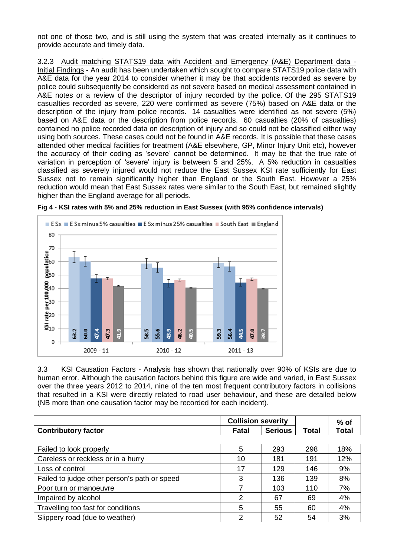not one of those two, and is still using the system that was created internally as it continues to provide accurate and timely data.

3.2.3 Audit matching STATS19 data with Accident and Emergency (A&E) Department data - Initial Findings - An audit has been undertaken which sought to compare STATS19 police data with A&E data for the year 2014 to consider whether it may be that accidents recorded as severe by police could subsequently be considered as not severe based on medical assessment contained in A&E notes or a review of the descriptor of injury recorded by the police. Of the 295 STATS19 casualties recorded as severe, 220 were confirmed as severe (75%) based on A&E data or the description of the injury from police records. 14 casualties were identified as not severe (5%) based on A&E data or the description from police records. 60 casualties (20% of casualties) contained no police recorded data on description of injury and so could not be classified either way using both sources. These cases could not be found in A&E records. It is possible that these cases attended other medical facilities for treatment (A&E elsewhere, GP, Minor Injury Unit etc), however the accuracy of their coding as 'severe' cannot be determined. It may be that the true rate of variation in perception of 'severe' injury is between 5 and 25%. A 5% reduction in casualties classified as severely injured would not reduce the East Sussex KSI rate sufficiently for East Sussex not to remain significantly higher than England or the South East. However a 25% reduction would mean that East Sussex rates were similar to the South East, but remained slightly higher than the England average for all periods.





3.3 KSI Causation Factors - Analysis has shown that nationally over 90% of KSIs are due to human error. Although the causation factors behind this figure are wide and varied, in East Sussex over the three years 2012 to 2014, nine of the ten most frequent contributory factors in collisions that resulted in a KSI were directly related to road user behaviour, and these are detailed below (NB more than one causation factor may be recorded for each incident).

| <b>Collision severity</b>                    |       |                | $%$ of |              |
|----------------------------------------------|-------|----------------|--------|--------------|
| <b>Contributory factor</b>                   | Fatal | <b>Serious</b> | Total  | <b>Total</b> |
|                                              |       |                |        |              |
| Failed to look properly                      | 5     | 293            | 298    | 18%          |
| Careless or reckless or in a hurry           | 10    | 181            | 191    | 12%          |
| Loss of control                              | 17    | 129            | 146    | 9%           |
| Failed to judge other person's path or speed | 3     | 136            | 139    | 8%           |
| Poor turn or manoeuvre                       |       | 103            | 110    | 7%           |
| Impaired by alcohol                          | 2     | 67             | 69     | 4%           |
| Travelling too fast for conditions           | 5     | 55             | 60     | 4%           |
| Slippery road (due to weather)               | っ     | 52             | 54     | 3%           |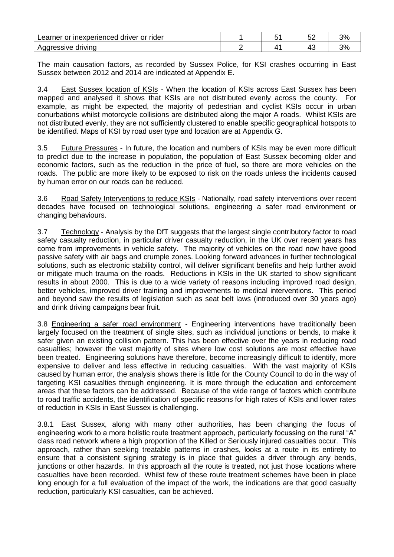| Learner or inexperienced<br>driver or rider |  | ັ   | ∕ספ |
|---------------------------------------------|--|-----|-----|
| <sup>o</sup> sive u<br>drivina<br>Aggre     |  | . . | ററ  |

The main causation factors, as recorded by Sussex Police, for KSI crashes occurring in East Sussex between 2012 and 2014 are indicated at Appendix E.

3.4 East Sussex location of KSIs - When the location of KSIs across East Sussex has been mapped and analysed it shows that KSIs are not distributed evenly across the county. For example, as might be expected, the majority of pedestrian and cyclist KSIs occur in urban conurbations whilst motorcycle collisions are distributed along the major A roads. Whilst KSIs are not distributed evenly, they are not sufficiently clustered to enable specific geographical hotspots to be identified. Maps of KSI by road user type and location are at Appendix G.

3.5 Future Pressures - In future, the location and numbers of KSIs may be even more difficult to predict due to the increase in population, the population of East Sussex becoming older and economic factors, such as the reduction in the price of fuel, so there are more vehicles on the roads. The public are more likely to be exposed to risk on the roads unless the incidents caused by human error on our roads can be reduced.

3.6 Road Safety Interventions to reduce KSIs - Nationally, road safety interventions over recent decades have focused on technological solutions, engineering a safer road environment or changing behaviours.

3.7 Technology - Analysis by the DfT suggests that the largest single contributory factor to road safety casualty reduction, in particular driver casualty reduction, in the UK over recent years has come from improvements in vehicle safety. The majority of vehicles on the road now have good passive safety with air bags and crumple zones. Looking forward advances in further technological solutions, such as electronic stability control, will deliver significant benefits and help further avoid or mitigate much trauma on the roads. Reductions in KSIs in the UK started to show significant results in about 2000. This is due to a wide variety of reasons including improved road design, better vehicles, improved driver training and improvements to medical interventions. This period and beyond saw the results of legislation such as seat belt laws (introduced over 30 years ago) and drink driving campaigns bear fruit.

3.8 Engineering a safer road environment - Engineering interventions have traditionally been largely focused on the treatment of single sites, such as individual junctions or bends, to make it safer given an existing collision pattern. This has been effective over the years in reducing road casualties; however the vast majority of sites where low cost solutions are most effective have been treated. Engineering solutions have therefore, become increasingly difficult to identify, more expensive to deliver and less effective in reducing casualties. With the vast majority of KSIs caused by human error, the analysis shows there is little for the County Council to do in the way of targeting KSI casualties through engineering. It is more through the education and enforcement areas that these factors can be addressed. Because of the wide range of factors which contribute to road traffic accidents, the identification of specific reasons for high rates of KSIs and lower rates of reduction in KSIs in East Sussex is challenging.

3.8.1 East Sussex, along with many other authorities, has been changing the focus of engineering work to a more holistic route treatment approach, particularly focussing on the rural "A" class road network where a high proportion of the Killed or Seriously injured casualties occur. This approach, rather than seeking treatable patterns in crashes, looks at a route in its entirety to ensure that a consistent signing strategy is in place that guides a driver through any bends, junctions or other hazards. In this approach all the route is treated, not just those locations where casualties have been recorded. Whilst few of these route treatment schemes have been in place long enough for a full evaluation of the impact of the work, the indications are that good casualty reduction, particularly KSI casualties, can be achieved.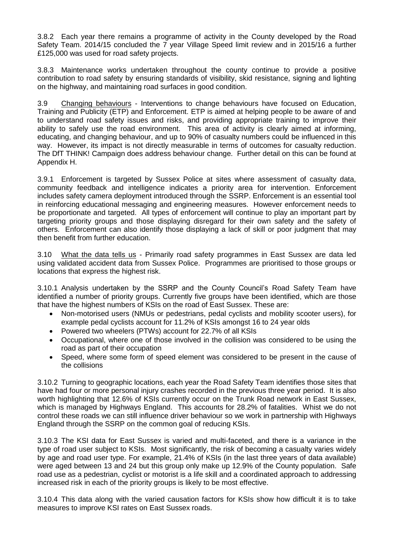3.8.2 Each year there remains a programme of activity in the County developed by the Road Safety Team. 2014/15 concluded the 7 year Village Speed limit review and in 2015/16 a further £125,000 was used for road safety projects.

3.8.3 Maintenance works undertaken throughout the county continue to provide a positive contribution to road safety by ensuring standards of visibility, skid resistance, signing and lighting on the highway, and maintaining road surfaces in good condition.

3.9 Changing behaviours - Interventions to change behaviours have focused on Education, Training and Publicity (ETP) and Enforcement. ETP is aimed at helping people to be aware of and to understand road safety issues and risks, and providing appropriate training to improve their ability to safely use the road environment. This area of activity is clearly aimed at informing, educating, and changing behaviour, and up to 90% of casualty numbers could be influenced in this way. However, its impact is not directly measurable in terms of outcomes for casualty reduction. The DfT THINK! Campaign does address behaviour change. Further detail on this can be found at Appendix H.

3.9.1 Enforcement is targeted by Sussex Police at sites where assessment of casualty data, community feedback and intelligence indicates a priority area for intervention. Enforcement includes safety camera deployment introduced through the SSRP. Enforcement is an essential tool in reinforcing educational messaging and engineering measures. However enforcement needs to be proportionate and targeted. All types of enforcement will continue to play an important part by targeting priority groups and those displaying disregard for their own safety and the safety of others. Enforcement can also identify those displaying a lack of skill or poor judgment that may then benefit from further education.

3.10 What the data tells us - Primarily road safety programmes in East Sussex are data led using validated accident data from Sussex Police. Programmes are prioritised to those groups or locations that express the highest risk.

3.10.1 Analysis undertaken by the SSRP and the County Council's Road Safety Team have identified a number of priority groups. Currently five groups have been identified, which are those that have the highest numbers of KSIs on the road of East Sussex. These are:

- Non-motorised users (NMUs or pedestrians, pedal cyclists and mobility scooter users), for example pedal cyclists account for 11.2% of KSIs amongst 16 to 24 year olds
- Powered two wheelers (PTWs) account for 22.7% of all KSIs
- Occupational, where one of those involved in the collision was considered to be using the road as part of their occupation
- Speed, where some form of speed element was considered to be present in the cause of the collisions

3.10.2 Turning to geographic locations, each year the Road Safety Team identifies those sites that have had four or more personal injury crashes recorded in the previous three year period. It is also worth highlighting that 12.6% of KSIs currently occur on the Trunk Road network in East Sussex, which is managed by Highways England. This accounts for 28.2% of fatalities. Whist we do not control these roads we can still influence driver behaviour so we work in partnership with Highways England through the SSRP on the common goal of reducing KSIs.

3.10.3 The KSI data for East Sussex is varied and multi-faceted, and there is a variance in the type of road user subject to KSIs. Most significantly, the risk of becoming a casualty varies widely by age and road user type. For example, 21.4% of KSIs (in the last three years of data available) were aged between 13 and 24 but this group only make up 12.9% of the County population. Safe road use as a pedestrian, cyclist or motorist is a life skill and a coordinated approach to addressing increased risk in each of the priority groups is likely to be most effective.

3.10.4 This data along with the varied causation factors for KSIs show how difficult it is to take measures to improve KSI rates on East Sussex roads.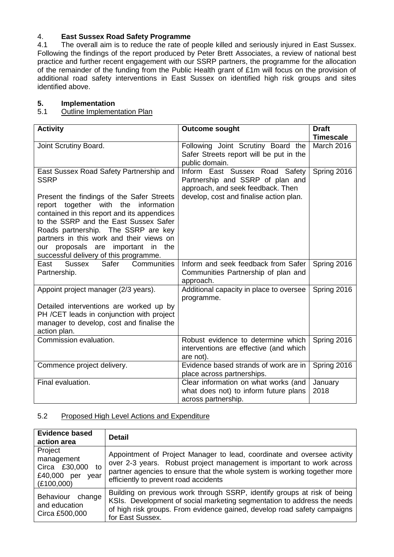# 4. **East Sussex Road Safety Programme**

4.1 The overall aim is to reduce the rate of people killed and seriously injured in East Sussex. Following the findings of the report produced by Peter Brett Associates, a review of national best practice and further recent engagement with our SSRP partners, the programme for the allocation of the remainder of the funding from the Public Health grant of £1m will focus on the provision of additional road safety interventions in East Sussex on identified high risk groups and sites identified above.

# **5. Implementation**

#### 5.1 Outline Implementation Plan

| <b>Activity</b>                                                                                                                                                                                                                                                                                                                                                                                              | <b>Outcome sought</b>                                                                                                                              | <b>Draft</b><br><b>Timescale</b> |
|--------------------------------------------------------------------------------------------------------------------------------------------------------------------------------------------------------------------------------------------------------------------------------------------------------------------------------------------------------------------------------------------------------------|----------------------------------------------------------------------------------------------------------------------------------------------------|----------------------------------|
| Joint Scrutiny Board.                                                                                                                                                                                                                                                                                                                                                                                        | Following Joint Scrutiny Board the<br>Safer Streets report will be put in the<br>public domain.                                                    | <b>March 2016</b>                |
| East Sussex Road Safety Partnership and<br><b>SSRP</b><br>Present the findings of the Safer Streets<br>report together with the information<br>contained in this report and its appendices<br>to the SSRP and the East Sussex Safer<br>Roads partnership. The SSRP are key<br>partners in this work and their views on<br>proposals are<br>important in the<br>our<br>successful delivery of this programme. | Inform East Sussex Road Safety<br>Partnership and SSRP of plan and<br>approach, and seek feedback. Then<br>develop, cost and finalise action plan. | Spring 2016                      |
| Communities<br>Safer<br>East<br>Sussex<br>Partnership.                                                                                                                                                                                                                                                                                                                                                       | Inform and seek feedback from Safer<br>Communities Partnership of plan and<br>approach.                                                            | Spring 2016                      |
| Appoint project manager (2/3 years).<br>Detailed interventions are worked up by<br>PH / CET leads in conjunction with project<br>manager to develop, cost and finalise the<br>action plan.                                                                                                                                                                                                                   | Additional capacity in place to oversee<br>programme.                                                                                              | Spring 2016                      |
| Commission evaluation.                                                                                                                                                                                                                                                                                                                                                                                       | Robust evidence to determine which<br>interventions are effective (and which<br>are not).                                                          | Spring 2016                      |
| Commence project delivery.                                                                                                                                                                                                                                                                                                                                                                                   | Evidence based strands of work are in<br>place across partnerships.                                                                                | Spring 2016                      |
| Final evaluation.                                                                                                                                                                                                                                                                                                                                                                                            | Clear information on what works (and<br>what does not) to inform future plans<br>across partnership.                                               | January<br>2018                  |

### 5.2 Proposed High Level Actions and Expenditure

| <b>Evidence based</b><br>action area                                           | <b>Detail</b>                                                                                                                                                                                                                                                          |
|--------------------------------------------------------------------------------|------------------------------------------------------------------------------------------------------------------------------------------------------------------------------------------------------------------------------------------------------------------------|
| Project<br>management<br>Circa £30,000 to<br>£40,000 per<br>year<br>(E100,000) | Appointment of Project Manager to lead, coordinate and oversee activity<br>over 2-3 years. Robust project management is important to work across<br>partner agencies to ensure that the whole system is working together more<br>efficiently to prevent road accidents |
| Behaviour change<br>and education<br>Circa £500,000                            | Building on previous work through SSRP, identify groups at risk of being<br>KSIs. Development of social marketing segmentation to address the needs<br>of high risk groups. From evidence gained, develop road safety campaigns<br>for East Sussex.                    |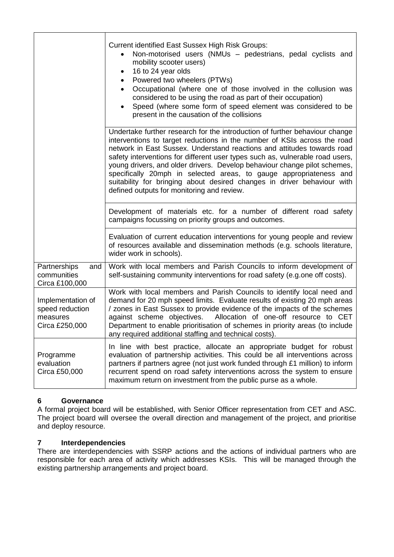|                                                                    | <b>Current identified East Sussex High Risk Groups:</b><br>Non-motorised users (NMUs - pedestrians, pedal cyclists and<br>mobility scooter users)<br>16 to 24 year olds<br>٠<br>Powered two wheelers (PTWs)<br>$\bullet$<br>Occupational (where one of those involved in the collusion was<br>$\bullet$<br>considered to be using the road as part of their occupation)<br>Speed (where some form of speed element was considered to be<br>$\bullet$<br>present in the causation of the collisions                                                                                              |
|--------------------------------------------------------------------|-------------------------------------------------------------------------------------------------------------------------------------------------------------------------------------------------------------------------------------------------------------------------------------------------------------------------------------------------------------------------------------------------------------------------------------------------------------------------------------------------------------------------------------------------------------------------------------------------|
|                                                                    | Undertake further research for the introduction of further behaviour change<br>interventions to target reductions in the number of KSIs across the road<br>network in East Sussex. Understand reactions and attitudes towards road<br>safety interventions for different user types such as, vulnerable road users,<br>young drivers, and older drivers. Develop behaviour change pilot schemes,<br>specifically 20mph in selected areas, to gauge appropriateness and<br>suitability for bringing about desired changes in driver behaviour with<br>defined outputs for monitoring and review. |
|                                                                    | Development of materials etc. for a number of different road safety<br>campaigns focussing on priority groups and outcomes.                                                                                                                                                                                                                                                                                                                                                                                                                                                                     |
|                                                                    | Evaluation of current education interventions for young people and review<br>of resources available and dissemination methods (e.g. schools literature,<br>wider work in schools).                                                                                                                                                                                                                                                                                                                                                                                                              |
| Partnerships<br>and<br>communities<br>Circa £100,000               | Work with local members and Parish Councils to inform development of<br>self-sustaining community interventions for road safety (e.g.one off costs).                                                                                                                                                                                                                                                                                                                                                                                                                                            |
| Implementation of<br>speed reduction<br>measures<br>Circa £250,000 | Work with local members and Parish Councils to identify local need and<br>demand for 20 mph speed limits. Evaluate results of existing 20 mph areas<br>/ zones in East Sussex to provide evidence of the impacts of the schemes<br>against scheme objectives.<br>Allocation of one-off resource to CET<br>Department to enable prioritisation of schemes in priority areas (to include<br>any required additional staffing and technical costs).                                                                                                                                                |
| Programme<br>evaluation<br>Circa £50,000                           | In line with best practice, allocate an appropriate budget for robust<br>evaluation of partnership activities. This could be all interventions across<br>partners if partners agree (not just work funded through £1 million) to inform<br>recurrent spend on road safety interventions across the system to ensure<br>maximum return on investment from the public purse as a whole.                                                                                                                                                                                                           |

# **6 Governance**

A formal project board will be established, with Senior Officer representation from CET and ASC. The project board will oversee the overall direction and management of the project, and prioritise and deploy resource.

# **7 Interdependencies**

There are interdependencies with SSRP actions and the actions of individual partners who are responsible for each area of activity which addresses KSIs. This will be managed through the existing partnership arrangements and project board.